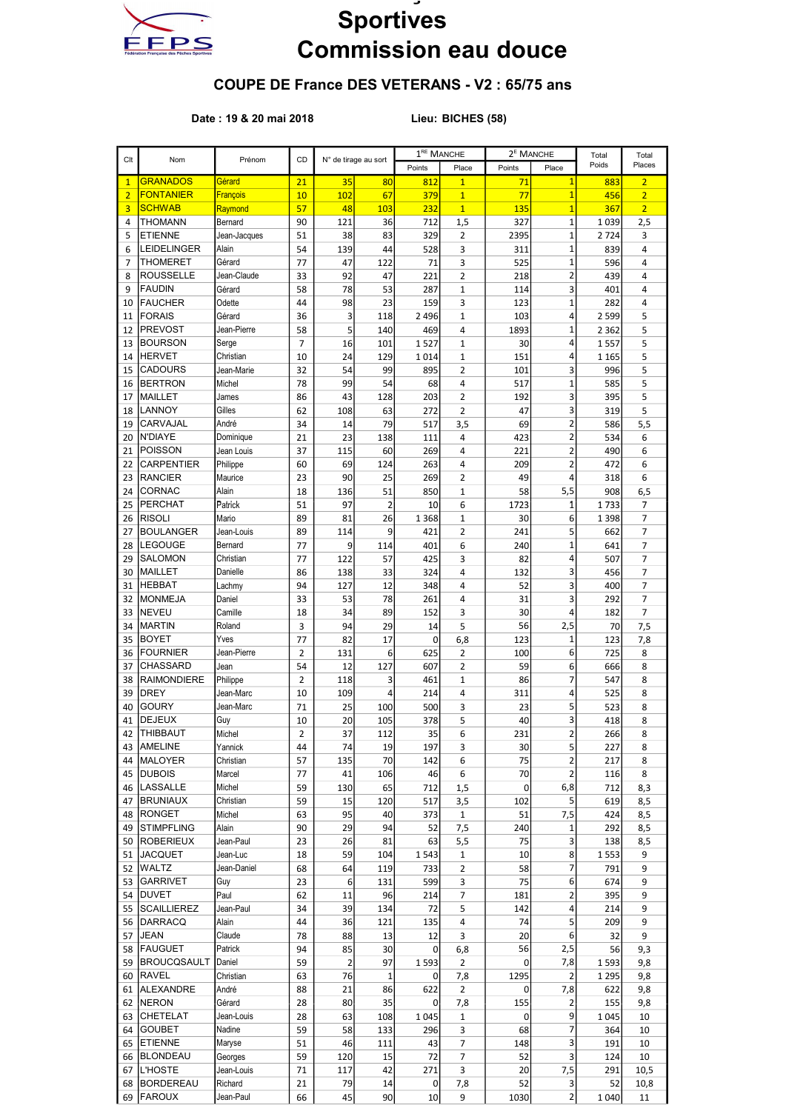

## **Sportives** Commission eau douce

## COUPE DE France DES VETERANS - V2 : 65/75 ans

## Date : 19 & 20 mai 2018 Lieu: BICHES (58)

|                |                    |                       |                |                |                      | 1 <sup>RE</sup> MANCHE |                   | 2 <sup>E</sup> MANCHE |                         | Total     | Total          |
|----------------|--------------------|-----------------------|----------------|----------------|----------------------|------------------------|-------------------|-----------------------|-------------------------|-----------|----------------|
| Clt            | Nom                | Prénom                | CD             |                | N° de tirage au sort | Points                 | Place             | Points                | Place                   | Poids     | Places         |
| $\mathbf{1}$   | <b>GRANADOS</b>    | Gérard                | 21             | 35             | 80                   | 812                    | $\overline{1}$    | 71                    | $\mathbf{1}$            | 883       | $\overline{2}$ |
| $\overline{2}$ | <b>FONTANIER</b>   | <b>François</b>       | 10             | 102            | 67                   | 379                    | $\mathbf{1}$      | 77                    | $\overline{1}$          | 456       | $\overline{2}$ |
| 3              | <b>SCHWAB</b>      | Raymond               | 57             | 48             | <b>103</b>           | <u> 232</u>            | $\mathbf{1}$      | 135                   | $\overline{1}$          | 367       | $\overline{2}$ |
| 4              | <b>THOMANN</b>     | Bernard               | 90             | 121            | 36                   | 712                    | 1,5               | 327                   | $\mathbf{1}$            | 1039      | 2,5            |
| 5              | <b>ETIENNE</b>     | Jean-Jacques          | 51             | 38             | 83                   | 329                    | 2                 | 2395                  | $\mathbf{1}$            | 2724      | 3              |
| 6              | LEIDELINGER        | Alain                 | 54             | 139            | 44                   | 528                    | 3                 | 311                   | $\mathbf{1}$            | 839       | 4              |
| 7              | <b>THOMERET</b>    | Gérard                | 77             | 47             | 122                  | 71                     | 3                 | 525                   | $\overline{1}$          | 596       | 4              |
| 8              | <b>ROUSSELLE</b>   | Jean-Claude           | 33             | 92             | 47                   | 221                    | $\overline{2}$    | 218                   | $\overline{2}$          | 439       | 4              |
| 9              | <b>FAUDIN</b>      | Gérard                | 58             | 78             | 53                   | 287                    | 1                 | 114                   | 3                       | 401       | 4              |
| 10             | <b>FAUCHER</b>     | Odette                | 44             | 98             | 23                   | 159                    | 3                 | 123                   | $\mathbf{1}$            | 282       | 4              |
| 11             | <b>FORAIS</b>      | Gérard                | 36             | 3              | 118                  | 2 4 9 6                | $\mathbf{1}$      | 103                   | 4                       | 2 5 9 9   | 5              |
| 12             | <b>PREVOST</b>     | Jean-Pierre           | 58             | 5              | 140                  | 469                    | 4                 | 1893                  | $\overline{1}$          | 2 3 6 2   | 5              |
| 13             | <b>BOURSON</b>     | Serge                 | $\overline{7}$ | 16             | 101                  | 1527                   | $\mathbf{1}$      | 30                    | 4                       | 1557      | 5              |
| 14             | <b>HERVET</b>      | Christian             | 10             | 24             | 129                  | 1014                   | $\mathbf{1}$      | 151                   | 4                       | 1 1 6 5   | 5              |
| 15             | <b>CADOURS</b>     | Jean-Marie            | 32             | 54             | 99                   | 895                    | 2                 | 101                   | 3                       | 996       | 5              |
| 16             | <b>BERTRON</b>     | Michel                | 78             | 99             | 54                   | 68                     | 4                 | 517                   | $\overline{1}$          | 585       | 5              |
| 17             | <b>MAILLET</b>     | James                 | 86             | 43             | 128                  | 203                    | $\overline{2}$    | 192                   | 3                       | 395       | 5              |
| 18             | <b>LANNOY</b>      | Gilles                | 62             | 108            | 63                   | 272                    | $\overline{2}$    | 47                    | 3                       | 319       | 5              |
| 19             | <b>CARVAJAL</b>    | André                 | 34             | 14             | 79                   | 517                    | 3,5               | 69                    | $\overline{2}$          | 586       | 5,5            |
| 20             | <b>N'DIAYE</b>     | Dominique             | 21             | 23             | 138                  | 111                    | 4                 | 423                   | $\overline{2}$          | 534       | 6              |
| 21             | POISSON            | Jean Louis            | 37             | 115            | 60                   | 269                    | 4                 | 221                   | $\overline{2}$          | 490       | 6              |
| 22             | <b>CARPENTIER</b>  | Philippe              | 60             | 69             | 124                  | 263                    | 4                 | 209                   | $\overline{2}$          | 472       | 6              |
| 23             | <b>RANCIER</b>     | Maurice               | 23             | 90             | 25                   | 269                    | $\overline{2}$    | 49                    | $\overline{4}$          | 318       | 6              |
| 24             | <b>CORNAC</b>      | Alain                 | 18             | 136            | 51                   | 850                    | $\mathbf{1}$      | 58                    | 5,5                     | 908       | 6,5            |
| 25             | <b>PERCHAT</b>     | Patrick               | 51             | 97             | 2                    | 10                     | 6                 | 1723                  | $\mathbf{1}$            | 1733      | 7              |
| 26             | <b>RISOLI</b>      | Mario                 | 89             | 81             | 26                   | 1 3 6 8                | $\mathbf{1}$      | 30                    | 6                       | 1 3 9 8   | 7              |
| 27             | <b>BOULANGER</b>   | Jean-Louis            | 89             | 114            | 9                    | 421                    | 2                 | 241                   | 5                       | 662       | 7              |
| 28             | <b>LEGOUGE</b>     | Bernard               | 77             | 9              | 114                  | 401                    | 6                 | 240                   | $\overline{1}$          | 641       | $\overline{7}$ |
| 29             | <b>SALOMON</b>     | Christian             | 77             | 122            | 57                   | 425                    | 3                 | 82                    | 4                       | 507       | 7              |
| 30             | <b>MAILLET</b>     | Danielle              | 86             | 138            | 33                   | 324                    | 4                 | 132                   | 3                       | 456       | 7              |
| 31             | HEBBAT             | Lachmy                | 94             | 127            | 12                   | 348                    | 4                 | 52                    | 3                       | 400       | $\overline{7}$ |
| 32             | <b>MONMEJA</b>     | Daniel                | 33             | 53             | 78                   | 261                    | 4                 | 31                    | 3                       | 292       | 7              |
| 33             | <b>NEVEU</b>       | Camille               | 18             | 34             | 89                   | 152                    | 3                 | 30                    | 4                       | 182       | 7              |
| 34             | <b>MARTIN</b>      | Roland                | 3              | 94             | 29                   | 14                     | 5                 | 56                    | 2,5                     | 70        | 7,5            |
| 35             | <b>BOYET</b>       | Yves                  | 77             | 82             | 17                   | 0                      | 6,8               | 123                   | $\mathbf{1}$            | 123       | 7,8            |
| 36             | <b>FOURNIER</b>    | Jean-Pierre           | $\overline{2}$ | 131            | 6                    | 625                    | 2                 | 100                   | 6                       | 725       | 8              |
| 37             | <b>CHASSARD</b>    | Jean                  | 54             | 12             | 127                  | 607                    | $\overline{2}$    | 59                    | 6                       | 666       | 8              |
| 38             | <b>RAIMONDIERE</b> | Philippe              | 2              | 118            | 3                    | 461                    | $\mathbf{1}$      | 86                    | 7                       | 547       | 8              |
| 39             | <b>DREY</b>        | Jean-Marc             | 10             | 109            | 4                    | 214                    | 4                 | 311                   | 4                       | 525       | 8              |
| 40             | <b>GOURY</b>       | Jean-Marc             | 71             | 25             | 100                  | 500                    | 3                 | 23                    | 5                       | 523       | 8              |
| 41             | <b>DEJEUX</b>      | Guy                   | 10             | 20             | 105                  | 378                    | 5                 | 40                    | 3                       | 418       | 8              |
| 42             | <b>THIBBAUT</b>    | Michel                | $\overline{2}$ | 37             | 112                  | 35                     | 6                 | 231                   | $\overline{a}$          | 266       | 8              |
| 43             | <b>AMELINE</b>     | Yannick               | 44             | 74             | 19                   | 197                    | 3                 | 30                    | 5                       | 227       | 8              |
| 44             | <b>MALOYER</b>     | Christian             | 57             | 135            | 70                   | 142                    | 6                 | 75                    | $\overline{c}$          | 217       | 8              |
|                | 45 DUBOIS          | Marcel                | 77             | 41             | 106                  | 46                     | 6                 | 70                    | $\overline{c}$          | 116       | 8              |
|                | 46  LASSALLE       | Michel                | 59             | 130            | 65                   | 712                    | 1,5               | 0                     | 6,8                     | 712       | 8,3            |
| 47             | <b>BRUNIAUX</b>    | Christian             | 59             | 15             | 120                  | 517                    | 3,5               | 102                   | 5                       | 619       | 8,5            |
|                | 48 RONGET          | Michel                | 63             | 95             | 40                   | 373                    | $\mathbf{1}$      | 51                    | 7,5                     | 424       | 8,5            |
| 49             | <b>STIMPFLING</b>  | Alain                 | 90             | 29             | 94                   | 52                     | 7,5               | 240                   | 1                       | 292       | 8,5            |
|                | 50 ROBERIEUX       | Jean-Paul             | 23             | 26             | 81                   | 63                     | 5,5               | 75                    | 3                       | 138       | 8,5            |
| 51             | <b>JACQUET</b>     | Jean-Luc              | 18             | 59             | 104                  | 1543                   | $\mathbf{1}$      | 10                    | 8                       | 1553      | 9              |
| 52             | WALTZ              | Jean-Daniel           | 68             | 64             | 119                  | 733                    | 2                 | 58                    | 7                       | 791       | 9              |
| 53             | <b>GARRIVET</b>    | Guy                   | 23             | 6              | 131                  | 599                    | 3                 | 75                    | 6                       | 674       | 9              |
|                | 54   DUVET         | Paul                  | 62             | 11             | 96                   | 214                    | $\overline{7}$    | 181                   | $\overline{c}$          | 395       | 9              |
|                | 55 SCAILLIEREZ     | Jean-Paul             | 34             | 39             | 134                  | 72                     | 5                 | 142                   | 4                       | 214       | 9              |
|                | 56 DARRACQ         | Alain                 | 44             | 36             | 121                  | 135                    | 4                 | 74                    | 5                       | 209       | 9              |
| 57             | <b>JEAN</b>        | Claude                | 78             | 88             | 13                   | 12                     | 3                 | 20                    | 6                       | 32        | 9              |
|                | 58 FAUGUET         | Patrick               | 94             | 85             | 30                   | 0                      | 6,8               | 56                    | 2,5                     | 56        | 9,3            |
| 59             | <b>BROUCQSAULT</b> | Daniel                | 59             | $\overline{2}$ | 97                   | 1 5 9 3                | $\overline{2}$    | 0                     | 7,8                     | 1593      | 9,8            |
|                | 60 RAVEL           | Christian             | 63             | 76             | $\mathbf 1$          | 0                      | 7,8               | 1295                  | $\overline{2}$          | 1 2 9 5   | 9,8            |
|                | 61 ALEXANDRE       | André                 | 88             | 21             | 86                   | 622                    | $\overline{2}$    | 0                     | 7,8                     | 622       | 9,8            |
|                | 62 NERON           | Gérard                |                | 80             | 35                   | 0                      | 7,8               | 155                   | $\overline{\mathbf{c}}$ | 155       |                |
|                | 63 CHETELAT        | Jean-Louis            | 28<br>28       | 63             | 108                  | 1045                   |                   | 0                     | 9                       | 1045      | 9,8            |
|                | <b>GOUBET</b>      | Nadine                | 59             | 58             |                      |                        | $\mathbf{1}$<br>3 | 68                    | 7                       | 364       | 10<br>10       |
| 64             | 65 ETIENNE         |                       | 51             | 46             | 133                  | 296<br>43              | 7                 | 148                   | 3                       | 191       | 10             |
|                | 66 BLONDEAU        | Maryse                |                |                | 111                  |                        |                   |                       | 3                       |           |                |
|                | L'HOSTE            | Georges<br>Jean-Louis | 59             | 120            | 15                   | 72                     | 7                 | 52                    | 7,5                     | 124       | 10             |
| 67             | 68 BORDEREAU       | Richard               | 71             | 117<br>79      | 42<br>14             | 271<br>0               | 3                 | 20<br>52              | 3                       | 291<br>52 | 10,5           |
|                | FAROUX             |                       | 21             | 45             | 90                   | 10                     | 7,8<br>9          |                       | $\overline{2}$          |           | 10,8           |
| 69             |                    | Jean-Paul             | 66             |                |                      |                        |                   | 1030                  |                         | 1040      | 11             |